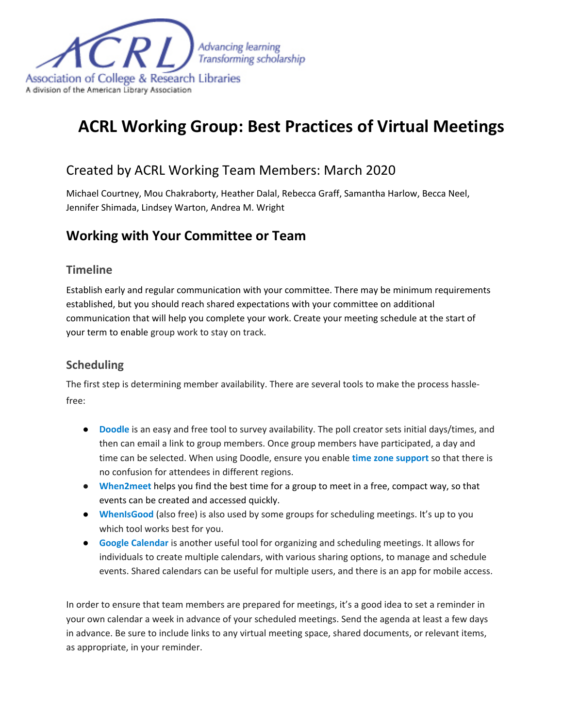

# **ACRL Working Group: Best Practices of Virtual Meetings**

# Created by ACRL Working Team Members: March 2020

Michael Courtney, Mou Chakraborty, Heather Dalal, Rebecca Graff, Samantha Harlow, Becca Neel, Jennifer Shimada, Lindsey Warton, Andrea M. Wright

# **Working with Your Committee or Team**

#### **Timeline**

Establish early and regular communication with your committee. There may be minimum requirements established, but you should reach shared expectations with your committee on additional communication that will help you complete your work. Create your meeting schedule at the start of your term to enable group work to stay on track.

### **Scheduling**

The first step is determining member availability. There are several tools to make the process hasslefree:

- **[Doodle](https://doodle.com/)** is an easy and free tool to survey availability. The poll creator sets initial days/times, and then can email a link to group members. Once group members have participated, a day and time can be selected. When using Doodle, ensure you enable **[time zone support](https://doodle.desk.com/customer/en/portal/articles/645367-how-can-i-schedule-an-event-with-people-in-different-time-zones-)** so that there is no confusion for attendees in different regions.
- **[When2meet](https://www.when2meet.com/)** helps you find the best time for a group to meet in a free, compact way, so that events can be created and accessed quickly.
- **[WhenIsGood](http://whenisgood.net/)** (also free) is also used by some groups for scheduling meetings. It's up to you which tool works best for you.
- **[Google Calendar](https://calendar.google.com/)** is another useful tool for organizing and scheduling meetings. It allows for individuals to create multiple calendars, with various sharing options, to manage and schedule events. Shared calendars can be useful for multiple users, and there is an app for mobile access.

In order to ensure that team members are prepared for meetings, it's a good idea to set a reminder in your own calendar a week in advance of your scheduled meetings. Send the agenda at least a few days in advance. Be sure to include links to any virtual meeting space, shared documents, or relevant items, as appropriate, in your reminder.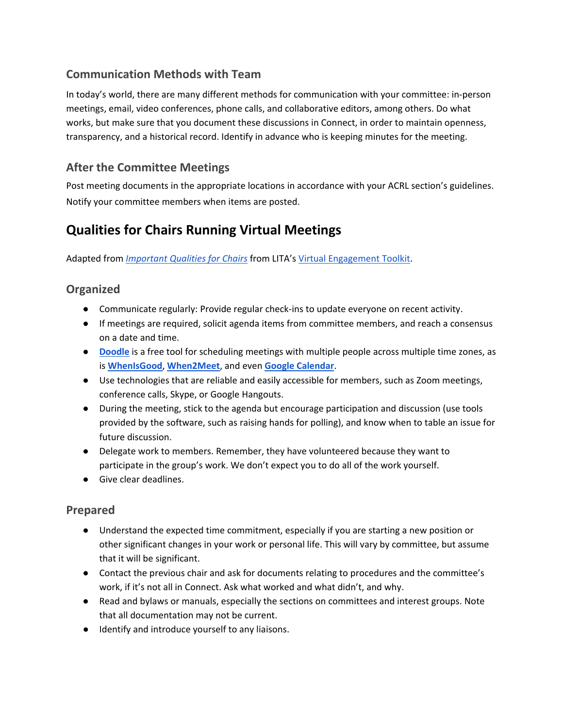# **Communication Methods with Team**

In today's world, there are many different methods for communication with your committee: in-person meetings, email, video conferences, phone calls, and collaborative editors, among others. Do what works, but make sure that you document these discussions in Connect, in order to maintain openness, transparency, and a historical record. Identify in advance who is keeping minutes for the meeting.

# **After the Committee Meetings**

Post meeting documents in the appropriate locations in accordance with your ACRL section's guidelines. Notify your committee members when items are posted.

# **Qualities for Chairs Running Virtual Meetings**

Adapted from *[Important Qualities for Chairs](https://docs.lita.org/important-qualities-for-chairs/)* from LITA's [Virtual Engagement Toolkit.](https://docs.lita.org/toolkit/)

### **Organized**

- Communicate regularly: Provide regular check-ins to update everyone on recent activity.
- If meetings are required, solicit agenda items from committee members, and reach a consensus on a date and time.
- **[Doodle](http://www.doodle.com/)** is a free tool for scheduling meetings with multiple people across multiple time zones, as is **[WhenIsGood](http://whenisgood.net/)**, **[When2Meet](https://www.when2meet.com/)**, and even **[Google Calendar](https://calendar.google.com/)**.
- Use technologies that are reliable and easily accessible for members, such as Zoom meetings, conference calls, Skype, or Google Hangouts.
- During the meeting, stick to the agenda but encourage participation and discussion (use tools provided by the software, such as raising hands for polling), and know when to table an issue for future discussion.
- Delegate work to members. Remember, they have volunteered because they want to participate in the group's work. We don't expect you to do all of the work yourself.
- Give clear deadlines.

### **Prepared**

- Understand the expected time commitment, especially if you are starting a new position or other significant changes in your work or personal life. This will vary by committee, but assume that it will be significant.
- Contact the previous chair and ask for documents relating to procedures and the committee's work, if it's not all in Connect. Ask what worked and what didn't, and why.
- Read and bylaws or manuals, especially the sections on committees and interest groups. Note that all documentation may not be current.
- Identify and introduce yourself to any liaisons.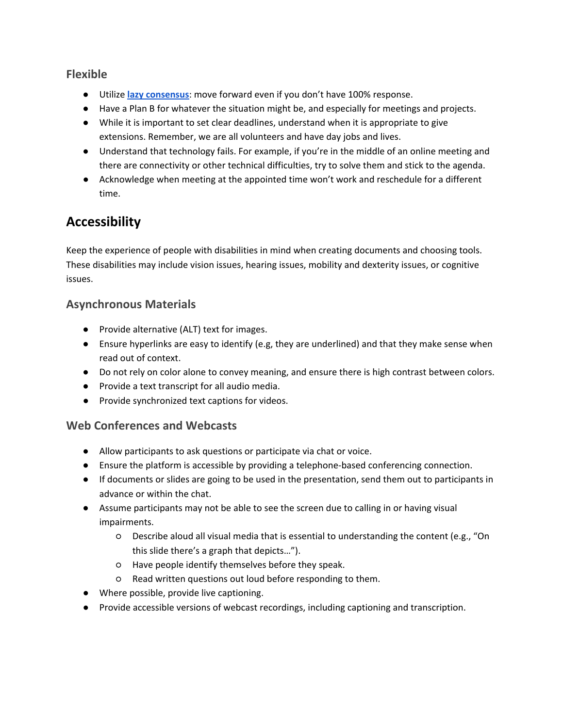### **Flexible**

- Utilize **[lazy consensus](http://nowviskie.org/2012/lazy-consensus/)**: move forward even if you don't have 100% response.
- Have a Plan B for whatever the situation might be, and especially for meetings and projects.
- While it is important to set clear deadlines, understand when it is appropriate to give extensions. Remember, we are all volunteers and have day jobs and lives.
- Understand that technology fails. For example, if you're in the middle of an online meeting and there are connectivity or other technical difficulties, try to solve them and stick to the agenda.
- Acknowledge when meeting at the appointed time won't work and reschedule for a different time.

# **Accessibility**

Keep the experience of people with disabilities in mind when creating documents and choosing tools. These disabilities may include vision issues, hearing issues, mobility and dexterity issues, or cognitive issues.

### **Asynchronous Materials**

- Provide alternative (ALT) text for images.
- Ensure hyperlinks are easy to identify (e.g, they are underlined) and that they make sense when read out of context.
- Do not rely on color alone to convey meaning, and ensure there is high contrast between colors.
- Provide a text transcript for all audio media.
- Provide synchronized text captions for videos.

### **Web Conferences and Webcasts**

- Allow participants to ask questions or participate via chat or voice.
- Ensure the platform is accessible by providing a telephone-based conferencing connection.
- If documents or slides are going to be used in the presentation, send them out to participants in advance or within the chat.
- Assume participants may not be able to see the screen due to calling in or having visual impairments.
	- Describe aloud all visual media that is essential to understanding the content (e.g., "On this slide there's a graph that depicts…").
	- Have people identify themselves before they speak.
	- Read written questions out loud before responding to them.
- Where possible, provide live captioning.
- Provide accessible versions of webcast recordings, including captioning and transcription.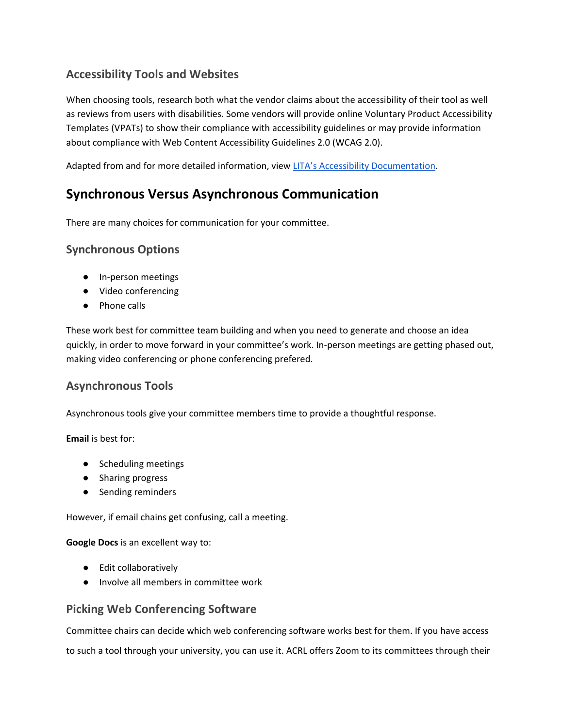## **Accessibility Tools and Websites**

When choosing tools, research both what the vendor claims about the accessibility of their tool as well as reviews from users with disabilities. Some vendors will provide online Voluntary Product Accessibility Templates (VPATs) to show their compliance with accessibility guidelines or may provide information about compliance with Web Content Accessibility Guidelines 2.0 (WCAG 2.0).

Adapted from and for more detailed information, vie[w LITA's Accessibility Documentation.](https://docs.lita.org/accessibility/)

# **Synchronous Versus Asynchronous Communication**

There are many choices for communication for your committee.

#### **Synchronous Options**

- In-person meetings
- Video conferencing
- Phone calls

These work best for committee team building and when you need to generate and choose an idea quickly, in order to move forward in your committee's work. In-person meetings are getting phased out, making video conferencing or phone conferencing prefered.

#### **Asynchronous Tools**

Asynchronous tools give your committee members time to provide a thoughtful response.

**Email** is best for:

- Scheduling meetings
- Sharing progress
- Sending reminders

However, if email chains get confusing, call a meeting.

**Google Docs** is an excellent way to:

- Edit collaboratively
- Involve all members in committee work

#### **Picking Web Conferencing Software**

Committee chairs can decide which web conferencing software works best for them. If you have access to such a tool through your university, you can use it. ACRL offers Zoom to its committees through their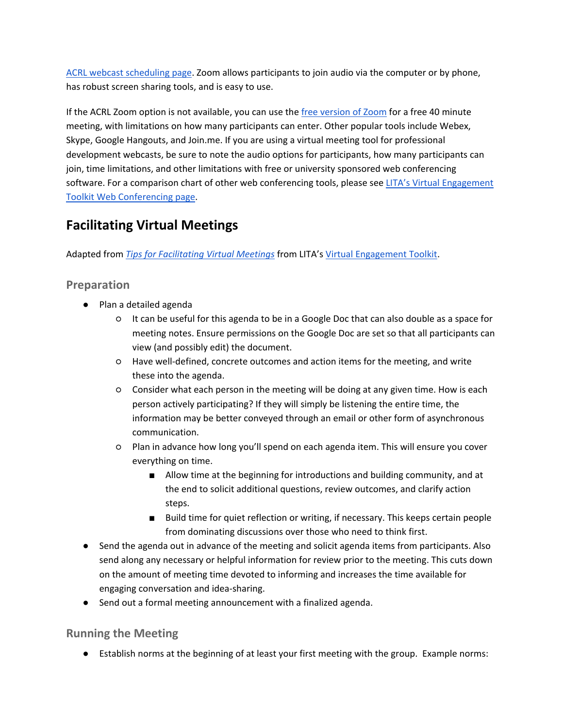[ACRL webcast scheduling page.](http://acrl.libcal.com/booking/virtual-meetings) Zoom allows participants to join audio via the computer or by phone, has robust screen sharing tools, and is easy to use.

If the ACRL Zoom option is not available, you can use the [free version of Zoom](https://zoom.us/pricing) for a free 40 minute meeting, with limitations on how many participants can enter. Other popular tools include Webex, Skype, Google Hangouts, and Join.me. If you are using a virtual meeting tool for professional development webcasts, be sure to note the audio options for participants, how many participants can join, time limitations, and other limitations with free or university sponsored web conferencing software. For a comparison chart of other web conferencing tools, please see LITA's Virtual Engagement [Toolkit Web Conferencing page.](https://docs.lita.org/web-conferencing/)

# **Facilitating Virtual Meetings**

Adapted from *[Tips for Facilitating Virtual Meetings](https://docs.lita.org/tips-for-facilitating-virtual-meetings/)* from LITA's [Virtual Engagement Toolkit.](https://docs.lita.org/toolkit/)

### **Preparation**

- Plan a detailed agenda
	- It can be useful for this agenda to be in a Google Doc that can also double as a space for meeting notes. Ensure permissions on the Google Doc are set so that all participants can view (and possibly edit) the document.
	- Have well-defined, concrete outcomes and action items for the meeting, and write these into the agenda.
	- Consider what each person in the meeting will be doing at any given time. How is each person actively participating? If they will simply be listening the entire time, the information may be better conveyed through an email or other form of asynchronous communication.
	- Plan in advance how long you'll spend on each agenda item. This will ensure you cover everything on time.
		- Allow time at the beginning for introductions and building community, and at the end to solicit additional questions, review outcomes, and clarify action steps.
		- Build time for quiet reflection or writing, if necessary. This keeps certain people from dominating discussions over those who need to think first.
- Send the agenda out in advance of the meeting and solicit agenda items from participants. Also send along any necessary or helpful information for review prior to the meeting. This cuts down on the amount of meeting time devoted to informing and increases the time available for engaging conversation and idea-sharing.
- Send out a formal meeting announcement with a finalized agenda.

### **Running the Meeting**

● Establish norms at the beginning of at least your first meeting with the group. Example norms: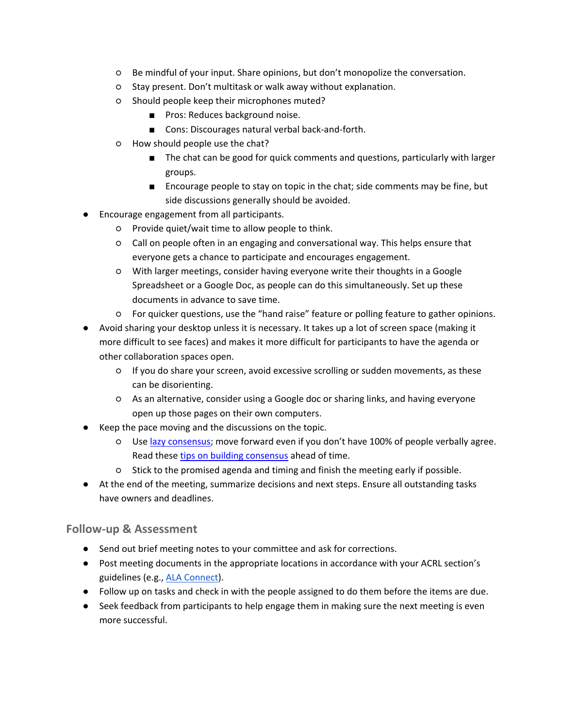- Be mindful of your input. Share opinions, but don't monopolize the conversation.
- Stay present. Don't multitask or walk away without explanation.
- Should people keep their microphones muted?
	- Pros: Reduces background noise.
	- Cons: Discourages natural verbal back-and-forth.
- How should people use the chat?
	- The chat can be good for quick comments and questions, particularly with larger groups.
	- Encourage people to stay on topic in the chat; side comments may be fine, but side discussions generally should be avoided.
- Encourage engagement from all participants.
	- Provide quiet/wait time to allow people to think.
	- Call on people often in an engaging and conversational way. This helps ensure that everyone gets a chance to participate and encourages engagement.
	- With larger meetings, consider having everyone write their thoughts in a Google Spreadsheet or a Google Doc, as people can do this simultaneously. Set up these documents in advance to save time.
	- For quicker questions, use the "hand raise" feature or polling feature to gather opinions.
- Avoid sharing your desktop unless it is necessary. It takes up a lot of screen space (making it more difficult to see faces) and makes it more difficult for participants to have the agenda or other collaboration spaces open.
	- If you do share your screen, avoid excessive scrolling or sudden movements, as these can be disorienting.
	- As an alternative, consider using a Google doc or sharing links, and having everyone open up those pages on their own computers.
- Keep the pace moving and the discussions on the topic.
	- Use [lazy consensus;](http://nowviskie.org/2012/lazy-consensus/) move forward even if you don't have 100% of people verbally agree. Read thes[e](http://docs.lita.org/consensus-process-for-virtual-teams/) [tips on building consensus](http://docs.lita.org/consensus-process-for-virtual-teams/) ahead of time.
	- Stick to the promised agenda and timing and finish the meeting early if possible.
- At the end of the meeting, summarize decisions and next steps. Ensure all outstanding tasks have owners and deadlines.

#### **Follow-up & Assessment**

- Send out brief meeting notes to your committee and ask for corrections.
- Post meeting documents in the appropriate locations in accordance with your ACRL section's guidelines (e.g.[, ALA Connect\)](https://connect.ala.org/home).
- Follow up on tasks and check in with the people assigned to do them before the items are due.
- Seek feedback from participants to help engage them in making sure the next meeting is even more successful.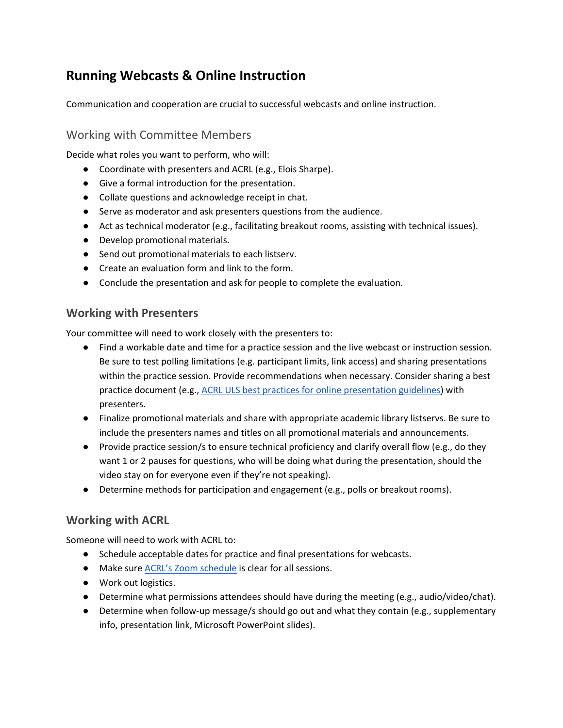# **Running Webcasts & Online Instruction**

Communication and cooperation are crucial to successful webcasts and online instruction.

### Working with Committee Members

Decide what roles you want to perform, who will:

- Coordinate with presenters and ACRL (e.g., Elois Sharpe).
- Give a formal introduction for the presentation.
- Collate questions and acknowledge receipt in chat.
- Serve as moderator and ask presenters questions from the audience.
- Act as technical moderator (e.g., facilitating breakout rooms, assisting with technical issues).
- Develop promotional materials.
- Send out promotional materials to each listserv.
- Create an evaluation form and link to the form.
- Conclude the presentation and ask for people to complete the evaluation.

#### **Working with Presenters**

Your committee will need to work closely with the presenters to:

- Find a workable date and time for a practice session and the live webcast or instruction session. Be sure to test polling limitations (e.g. participant limits, link access) and sharing presentations within the practice session. Provide recommendations when necessary. Consider sharing a best practice document (e.g., [ACRL ULS best practices for online presentation guidelines\)](https://docs.google.com/document/d/1bhTRhw81z4eNvzzguTfcyVQDn-B8XXjIoGnWEmvHAtM/edit?usp=sharing) with presenters.
- Finalize promotional materials and share with appropriate academic library listservs. Be sure to include the presenters names and titles on all promotional materials and announcements.
- Provide practice session/s to ensure technical proficiency and clarify overall flow (e.g., do they want 1 or 2 pauses for questions, who will be doing what during the presentation, should the video stay on for everyone even if they're not speaking).
- Determine methods for participation and engagement (e.g., polls or breakout rooms).

#### **Working with ACRL**

Someone will need to work with ACRL to:

- Schedule acceptable dates for practice and final presentations for webcasts.
- Make sure [ACRL's Zoom schedule](http://acrl.libcal.com/booking/virtual-meetings) is clear for all sessions.
- Work out logistics.
- Determine what permissions attendees should have during the meeting (e.g., audio/video/chat).
- Determine when follow-up message/s should go out and what they contain (e.g., supplementary info, presentation link, Microsoft PowerPoint slides).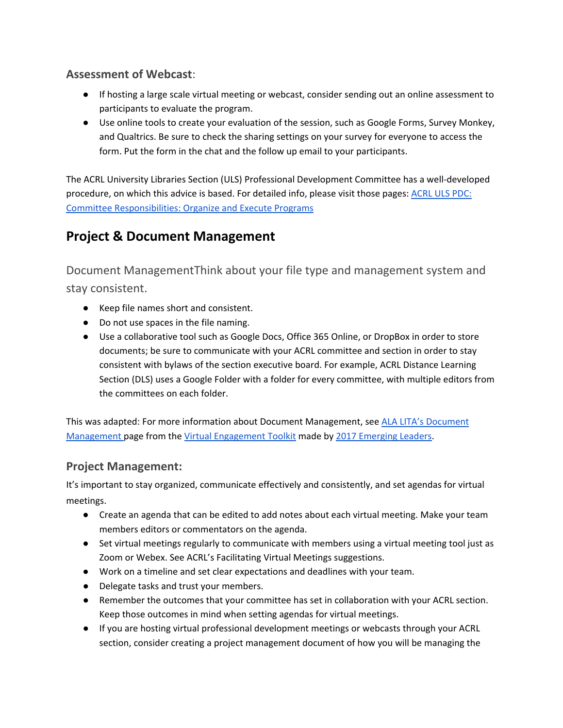### **Assessment of Webcast**:

- If hosting a large scale virtual meeting or webcast, consider sending out an online assessment to participants to evaluate the program.
- Use online tools to create your evaluation of the session, such as Google Forms, Survey Monkey, and Qualtrics. Be sure to check the sharing settings on your survey for everyone to access the form. Put the form in the chat and the follow up email to your participants.

The ACRL University Libraries Section (ULS) Professional Development Committee has a well-developed procedure, on which this advice is based. For detailed info, please visit those pages: [ACRL ULS PDC:](https://acrl.libguides.com/uls/committees/professional-development)  [Committee Responsibilities: Organize and Execute Programs](https://acrl.libguides.com/uls/committees/professional-development)

# **Project & Document Management**

Document ManagementThink about your file type and management system and stay consistent.

- Keep file names short and consistent.
- Do not use spaces in the file naming.
- Use a collaborative tool such as Google Docs, Office 365 Online, or DropBox in order to store documents; be sure to communicate with your ACRL committee and section in order to stay consistent with bylaws of the section executive board. For example, ACRL Distance Learning Section (DLS) uses a Google Folder with a folder for every committee, with multiple editors from the committees on each folder.

This was adapted: For more information about Document Management, see [ALA LITA's Document](https://docs.lita.org/documents/)  [Management p](https://docs.lita.org/documents/)age from th[e Virtual Engagement Toolkit](https://docs.lita.org/toolkit/) made b[y 2017 Emerging Leaders.](https://americanlibrariesmagazine.org/2017/03/01/emerging-leaders-2017/)

#### **Project Management:**

It's important to stay organized, communicate effectively and consistently, and set agendas for virtual meetings.

- Create an agenda that can be edited to add notes about each virtual meeting. Make your team members editors or commentators on the agenda.
- Set virtual meetings regularly to communicate with members using a virtual meeting tool just as Zoom or Webex. See ACRL's Facilitating Virtual Meetings suggestions.
- Work on a timeline and set clear expectations and deadlines with your team.
- Delegate tasks and trust your members.
- Remember the outcomes that your committee has set in collaboration with your ACRL section. Keep those outcomes in mind when setting agendas for virtual meetings.
- If you are hosting virtual professional development meetings or webcasts through your ACRL section, consider creating a project management document of how you will be managing the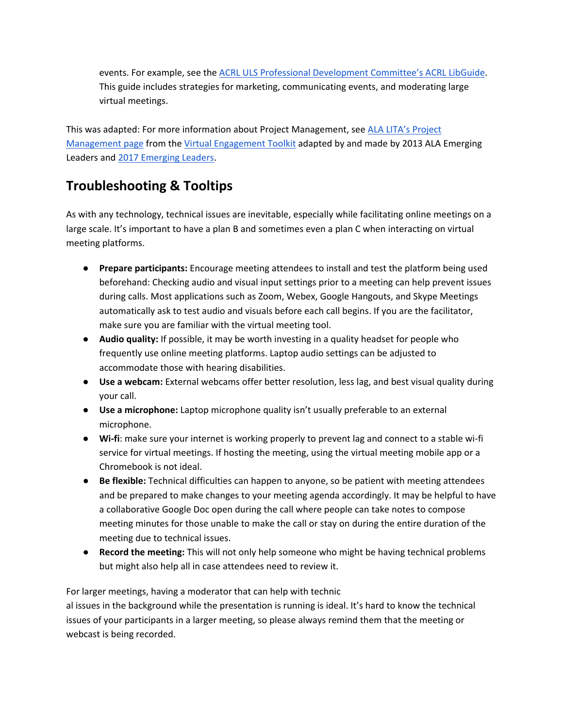events. For example, see th[e ACRL ULS Professional Development Committee's ACRL LibGuide.](https://acrl.libguides.com/uls/committees/professional-development) This guide includes strategies for marketing, communicating events, and moderating large virtual meetings.

This was adapted: For more information about Project Management, see [ALA LITA's Project](https://docs.lita.org/project-management-skills/)  [Management page](https://docs.lita.org/project-management-skills/) from th[e Virtual Engagement Toolkit](https://docs.lita.org/toolkit/) adapted by and made by 2013 ALA Emerging Leaders an[d 2017 Emerging Leaders.](https://americanlibrariesmagazine.org/2017/03/01/emerging-leaders-2017/)

# **Troubleshooting & Tooltips**

As with any technology, technical issues are inevitable, especially while facilitating online meetings on a large scale. It's important to have a plan B and sometimes even a plan C when interacting on virtual meeting platforms.

- **Prepare participants:** Encourage meeting attendees to install and test the platform being used beforehand: Checking audio and visual input settings prior to a meeting can help prevent issues during calls. Most applications such as Zoom, Webex, Google Hangouts, and Skype Meetings automatically ask to test audio and visuals before each call begins. If you are the facilitator, make sure you are familiar with the virtual meeting tool.
- **Audio quality:** If possible, it may be worth investing in a quality headset for people who frequently use online meeting platforms. Laptop audio settings can be adjusted to accommodate those with hearing disabilities.
- **Use a webcam:** External webcams offer better resolution, less lag, and best visual quality during your call.
- **Use a microphone:** Laptop microphone quality isn't usually preferable to an external microphone.
- **Wi-fi**: make sure your internet is working properly to prevent lag and connect to a stable wi-fi service for virtual meetings. If hosting the meeting, using the virtual meeting mobile app or a Chromebook is not ideal.
- **Be flexible:** Technical difficulties can happen to anyone, so be patient with meeting attendees and be prepared to make changes to your meeting agenda accordingly. It may be helpful to have a collaborative Google Doc open during the call where people can take notes to compose meeting minutes for those unable to make the call or stay on during the entire duration of the meeting due to technical issues.
- **Record the meeting:** This will not only help someone who might be having technical problems but might also help all in case attendees need to review it.

For larger meetings, having a moderator that can help with technic al issues in the background while the presentation is running is ideal. It's hard to know the technical issues of your participants in a larger meeting, so please always remind them that the meeting or webcast is being recorded.